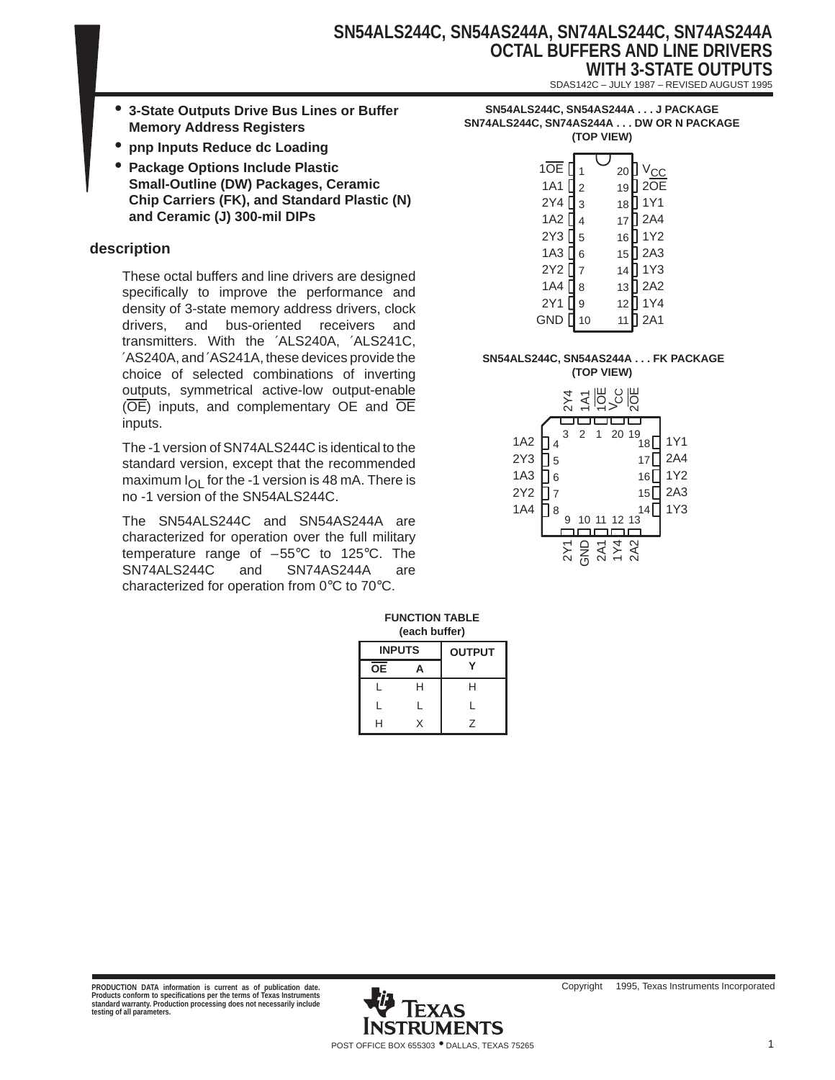# **SN54ALS244C, SN54AS244A, SN74ALS244C, SN74AS244A OCTAL BUFFERS AND LINE DRIVERS WITH 3-STATE OUTPUTS**

SDAS142C – JULY 1987 – REVISED AUGUST 1995

- **3-State Outputs Drive Bus Lines or Buffer Memory Address Registers**
- **pnp Inputs Reduce dc Loading**
- **Package Options Include Plastic Small-Outline (DW) Packages, Ceramic Chip Carriers (FK), and Standard Plastic (N) and Ceramic (J) 300-mil DIPs**

#### **description**

These octal buffers and line drivers are designed specifically to improve the performance and density of 3-state memory address drivers, clock drivers, and bus-oriented receivers and transmitters. With the ′ALS240A, ′ALS241C, ′AS240A, and ′AS241A, these devices provide the choice of selected combinations of inverting outputs, symmetrical active-low output-enable (OE) inputs, and complementary OE and OE inputs.

The -1 version of SN74ALS244C is identical to the standard version, except that the recommended maximum  $I_{\text{O}}$  for the -1 version is 48 mA. There is no -1 version of the SN54ALS244C.

The SN54ALS244C and SN54AS244A are characterized for operation over the full military temperature range of –55°C to 125°C. The SN74ALS244C and SN74AS244A are characterized for operation from 0°C to 70°C.

| SN54ALS244C, SN54AS244A J PACKAGE       |  |
|-----------------------------------------|--|
| SN74ALS244C. SN74AS244A DW OR N PACKAGE |  |
| (TOP VIEW)                              |  |

## **SN54ALS244C, SN54AS244A . . . FK PACKAGE**

**(TOP VIEW)**



#### **FUNCTION TABLE (each buffer)**

| <b>INPUTS</b> |   | <b>OUTPUT</b> |
|---------------|---|---------------|
| ŌΕ            |   |               |
|               | н | н             |
|               |   |               |
| н             |   | 7             |

**PRODUCTION DATA information is current as of publication date. Products conform to specifications per the terms of Texas Instruments standard warranty. Production processing does not necessarily include testing of all parameters.**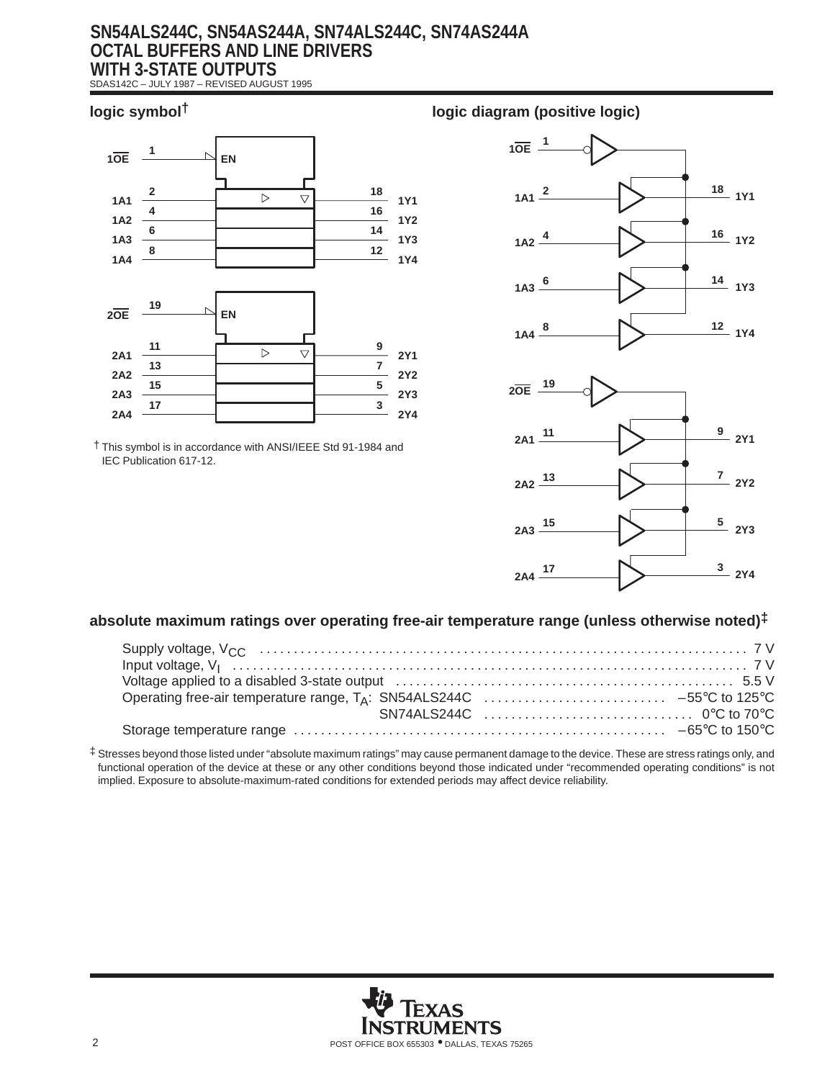# **SN54ALS244C, SN54AS244A, SN74ALS244C, SN74AS244A OCTAL BUFFERS AND LINE DRIVERS WITH 3-STATE OUTPUTS**

SDAS142C – JULY 1987 – REVISED AUGUST 1995



† This symbol is in accordance with ANSI/IEEE Std 91-1984 and IEC Publication 617-12.

## **logic symbol† logic diagram (positive logic)**





## **absolute maximum ratings over operating free-air temperature range (unless otherwise noted)‡**

‡ Stresses beyond those listed under "absolute maximum ratings" may cause permanent damage to the device. These are stress ratings only, and functional operation of the device at these or any other conditions beyond those indicated under "recommended operating conditions" is not implied. Exposure to absolute-maximum-rated conditions for extended periods may affect device reliability.

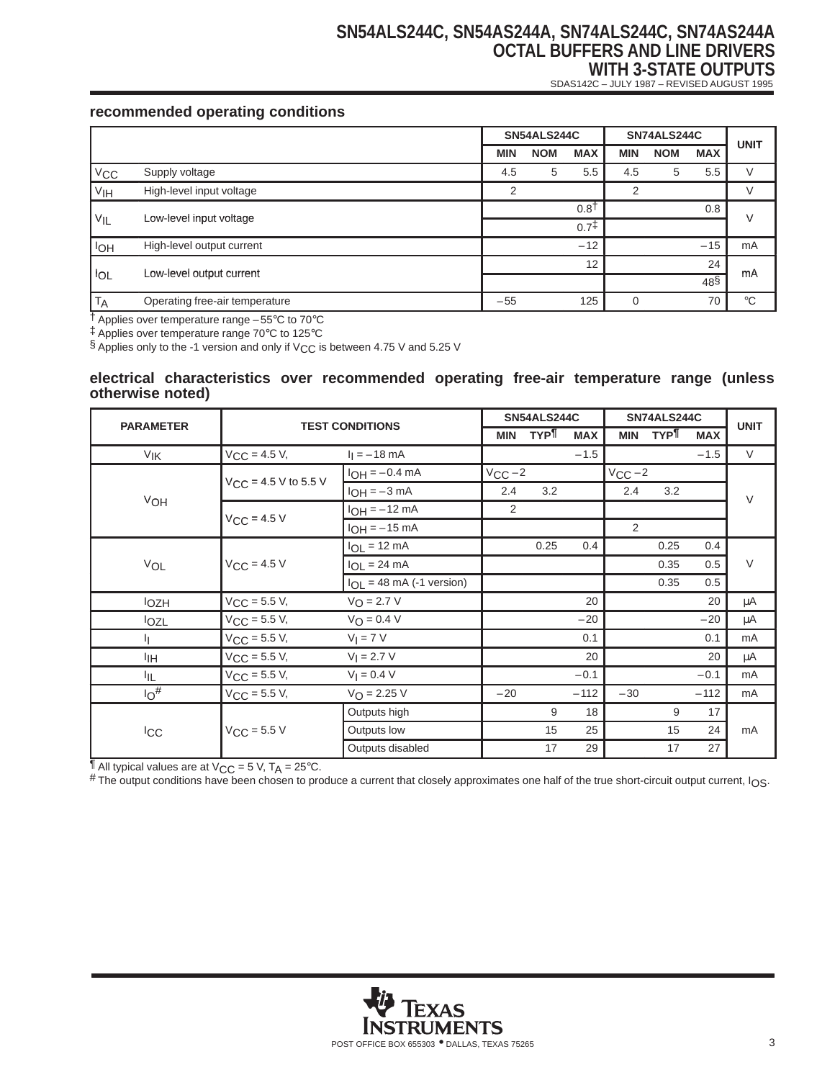# **SN54ALS244C, SN54AS244A, SN74ALS244C, SN74AS244A OCTAL BUFFERS AND LINE DRIVERS WITH 3-STATE OUTPUTS**

SDAS142C – JULY 1987 – REVISED AUGUST 1995

## **recommended operating conditions**

|                       |                                | SN54ALS244C |            | SN74ALS244C      |          |            | <b>UNIT</b>      |              |
|-----------------------|--------------------------------|-------------|------------|------------------|----------|------------|------------------|--------------|
|                       |                                | <b>MIN</b>  | <b>NOM</b> | <b>MAX</b>       | MIN      | <b>NOM</b> | <b>MAX</b>       |              |
| $V_{\text{CC}}$       | Supply voltage                 | 4.5         | 5          | 5.5              | 4.5      | 5          | 5.5              |              |
| V <sub>IH</sub>       | High-level input voltage       | 2           |            |                  | 2        |            |                  |              |
| $V_{IL}$              | Low-level input voltage        |             |            | 0.8 <sup>†</sup> |          |            | 0.8              | V            |
|                       |                                |             |            | 0.7 <sup>†</sup> |          |            |                  |              |
| <b>I<sub>OH</sub></b> | High-level output current      |             |            | $-12$            |          |            | $-15$            | mA           |
| <b>IOL</b>            |                                |             |            | 12               |          |            | 24               | mA           |
|                       | Low-level output current       |             |            |                  |          |            | $48\overline{S}$ |              |
| <b>TA</b>             | Operating free-air temperature | $-55$       |            | 125              | $\Omega$ |            | 70               | $^{\circ}$ C |

† Applies over temperature range –55°C to 70°C

‡ Applies over temperature range 70°C to 125°C

§ Applies only to the -1 version and only if  $V_{CC}$  is between 4.75 V and 5.25 V

#### **electrical characteristics over recommended operating free-air temperature range (unless otherwise noted)**

|                       |                                          | <b>SN54ALS244C</b><br>SN74ALS244C<br><b>TEST CONDITIONS</b> |             |            |            |             |            | <b>UNIT</b> |        |
|-----------------------|------------------------------------------|-------------------------------------------------------------|-------------|------------|------------|-------------|------------|-------------|--------|
| <b>PARAMETER</b>      |                                          |                                                             | <b>MIN</b>  | <b>TYP</b> | <b>MAX</b> | <b>MIN</b>  | <b>TYP</b> | <b>MAX</b>  |        |
| V <sub>IK</sub>       | $V_{CC}$ = 4.5 V,                        | $I_1 = -18$ mA                                              |             |            | $-1.5$     |             |            | $-1.5$      | $\vee$ |
|                       | $V_{\text{CC}} = 4.5 \text{ V}$ to 5.5 V | $I_{OH} = -0.4$ mA                                          | $V_{CC}$ -2 |            |            | $V_{CC}$ -2 |            |             |        |
| VOH                   |                                          | $I_{OH} = -3 mA$                                            | 2.4         | 3.2        |            | 2.4         | 3.2        |             | $\vee$ |
|                       | $V_{CC}$ = 4.5 V                         | $I_{OH} = -12$ mA                                           | 2           |            |            |             |            |             |        |
|                       |                                          | $I_{OH} = -15$ mA                                           |             |            |            | 2           |            |             |        |
|                       |                                          | $I_{OL}$ = 12 mA                                            |             | 0.25       | 0.4        |             | 0.25       | 0.4         |        |
| VOL                   | $V_{CC}$ = 4.5 V                         | $I_{OL}$ = 24 mA                                            |             |            |            |             | 0.35       | 0.5         | $\vee$ |
|                       |                                          | $I_{OL}$ = 48 mA (-1 version)                               |             |            |            |             | 0.35       | 0.5         |        |
| <b>lozh</b>           | $V_{CC}$ = 5.5 V,                        | $V_O = 2.7 V$                                               |             |            | 20         |             |            | 20          | μA     |
| lozL                  | $V_{CC}$ = 5.5 V,                        | $V_O = 0.4 V$                                               |             |            | $-20$      |             |            | $-20$       | μA     |
| η.                    | $V_{CC} = 5.5 V,$                        | $V_I = 7 V$                                                 |             |            | 0.1        |             |            | 0.1         | mA     |
| ŀщ                    | $V_{CC} = 5.5 V,$                        | $V_1 = 2.7 V$                                               |             |            | 20         |             |            | 20          | μA     |
| IIL.                  | $V_{CC} = 5.5 V,$                        | $V_1 = 0.4 V$                                               |             |            | $-0.1$     |             |            | $-0.1$      | mA     |
| $10^{\#}$             | $V_{CC} = 5.5 V,$                        | $V_{\text{O}} = 2.25 V$                                     | $-20$       |            | $-112$     | $-30$       |            | $-112$      | mA     |
|                       |                                          | Outputs high                                                |             | 9          | 18         |             | 9          | 17          | mA     |
| <b>I<sub>CC</sub></b> | $V_{CC}$ = 5.5 V                         | Outputs low                                                 |             | 15         | 25         |             | 15         | 24          |        |
|                       |                                          | Outputs disabled                                            |             | 17         | 29         |             | 17         | 27          |        |

 $\frac{1}{4}$  All typical values are at V<sub>CC</sub> = 5 V, T<sub>A</sub> = 25°C.

# The output conditions have been chosen to produce a current that closely approximates one half of the true short-circuit output current, I<sub>OS</sub>.

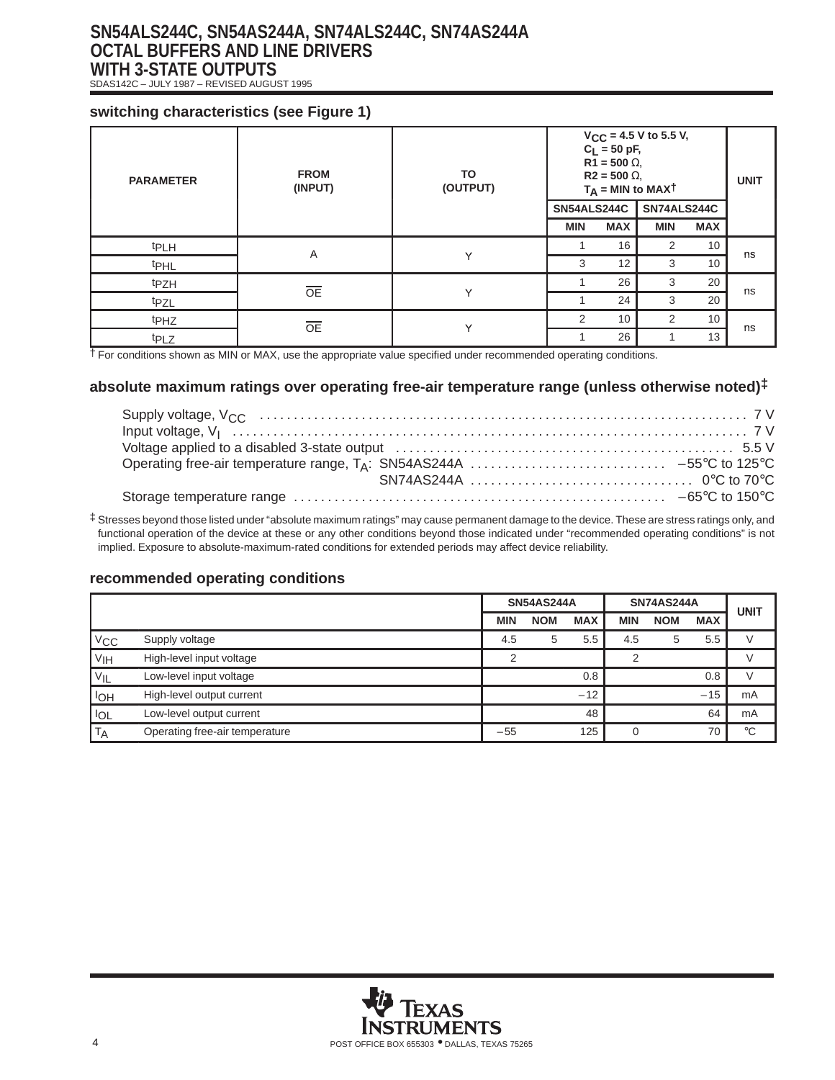# **SN54ALS244C, SN54AS244A, SN74ALS244C, SN74AS244A OCTAL BUFFERS AND LINE DRIVERS WITH 3-STATE OUTPUTS**

SDAS142C – JULY 1987 – REVISED AUGUST 1995

### **switching characteristics (see Figure 1)**

| <b>PARAMETER</b> | <b>FROM</b><br>(INPUT) | TO<br>(OUTPUT) | $V_{CC}$ = 4.5 V to 5.5 V,<br>$C_L = 50 \text{ pF}$ ,<br>$R1 = 500 \Omega$ ,<br>$R2 = 500 \Omega$<br>$T_A$ = MIN to MAX <sup>T</sup> | <b>UNIT</b> |                |            |    |
|------------------|------------------------|----------------|--------------------------------------------------------------------------------------------------------------------------------------|-------------|----------------|------------|----|
|                  |                        |                | <b>SN54ALS244C</b>                                                                                                                   |             | SN74ALS244C    |            |    |
|                  |                        |                | <b>MIN</b>                                                                                                                           | <b>MAX</b>  | <b>MIN</b>     | <b>MAX</b> |    |
| <sup>t</sup> PLH | Α                      | v              |                                                                                                                                      | 16          | 2              | 10         |    |
| <sup>t</sup> PHL |                        |                | 3                                                                                                                                    | 12          | 3              | 10         | ns |
| t <sub>PZH</sub> | $\overline{OE}$        | $\checkmark$   |                                                                                                                                      | 26          | 3              | 20         |    |
| t <sub>PZL</sub> |                        |                |                                                                                                                                      | 24          | 3              | 20         | ns |
| t <sub>PHZ</sub> | <b>OE</b>              | $\checkmark$   | 2                                                                                                                                    | 10          | $\overline{2}$ | 10         |    |
| t <sub>PLZ</sub> |                        |                |                                                                                                                                      | 26          |                | 13         | ns |

 $\dagger$  For conditions shown as MIN or MAX, use the appropriate value specified under recommended operating conditions.

### **absolute maximum ratings over operating free-air temperature range (unless otherwise noted)‡**

‡ Stresses beyond those listed under "absolute maximum ratings" may cause permanent damage to the device. These are stress ratings only, and functional operation of the device at these or any other conditions beyond those indicated under "recommended operating conditions" is not implied. Exposure to absolute-maximum-rated conditions for extended periods may affect device reliability.

#### **recommended operating conditions**

|                   |                                | <b>SN54AS244A</b> |            | <b>SN74AS244A</b> | <b>UNIT</b> |            |            |             |
|-------------------|--------------------------------|-------------------|------------|-------------------|-------------|------------|------------|-------------|
|                   |                                | <b>MIN</b>        | <b>NOM</b> | <b>MAX</b>        | MIN         | <b>NOM</b> | <b>MAX</b> |             |
| V <sub>CC</sub>   | Supply voltage                 | 4.5               | 5          | 5.5               | 4.5         | 5          | 5.5        |             |
| V <sub>IH</sub>   | High-level input voltage       |                   |            |                   |             |            |            |             |
| $V_{\mathsf{IL}}$ | Low-level input voltage        |                   |            | 0.8               |             |            | 0.8        |             |
| <b>IOH</b>        | High-level output current      |                   |            | $-12$             |             |            | $-15$      | mA          |
| l IOL             | Low-level output current       |                   |            | 48                |             |            | 64         | mA          |
| ' T <sub>A</sub>  | Operating free-air temperature | $-55$             |            | 125               |             |            | 70         | $^{\circ}C$ |

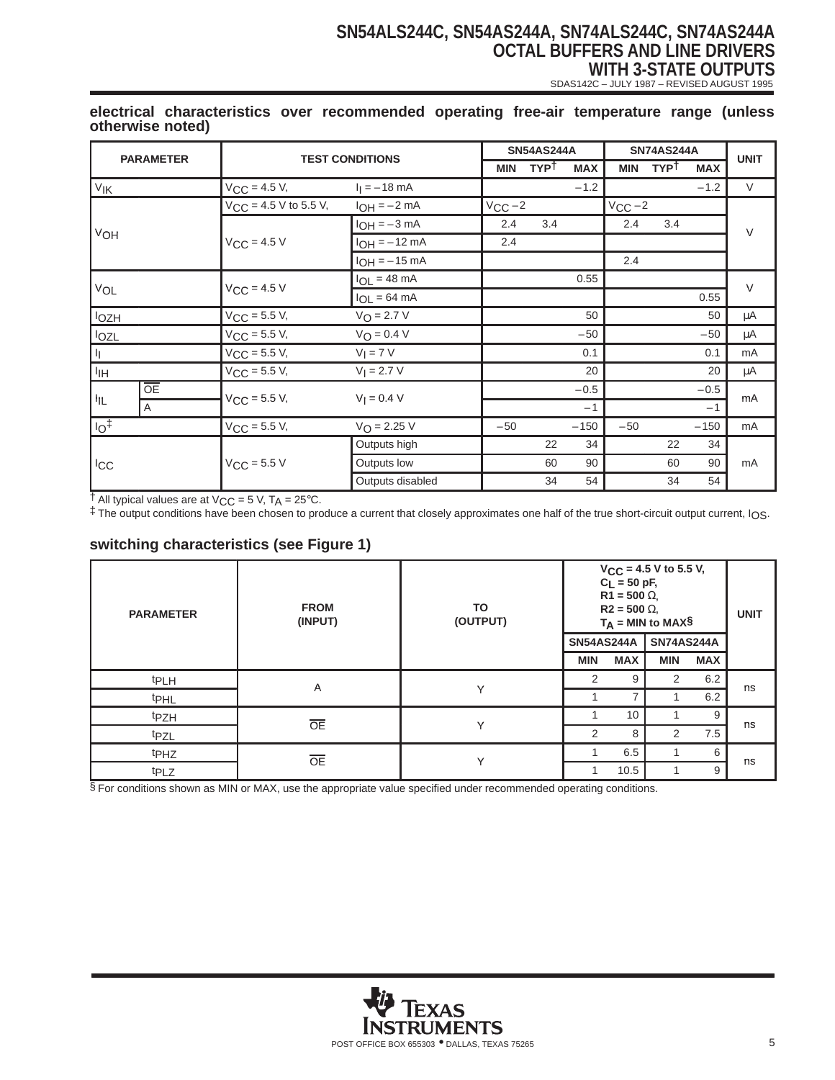# **SN54ALS244C, SN54AS244A, SN74ALS244C, SN74AS244A OCTAL BUFFERS AND LINE DRIVERS WITH 3-STATE OUTPUTS**

SDAS142C – JULY 1987 – REVISED AUGUST 1995

| <b>PARAMETER</b>  |                               |                            | <b>SN54AS244A</b><br><b>SN74AS244A</b><br><b>TEST CONDITIONS</b> |                           |     |            |             | <b>UNIT</b> |            |        |
|-------------------|-------------------------------|----------------------------|------------------------------------------------------------------|---------------------------|-----|------------|-------------|-------------|------------|--------|
|                   |                               |                            |                                                                  | <b>TYPT</b><br><b>MIN</b> |     | <b>MAX</b> | <b>MIN</b>  | <b>TYPT</b> | <b>MAX</b> |        |
| $V_{\mathsf{IK}}$ |                               | $V_{CC} = 4.5 V,$          | $I_1 = -18$ mA                                                   |                           |     | $-1.2$     |             |             | $-1.2$     | V      |
|                   |                               | $V_{CC}$ = 4.5 V to 5.5 V, | $I_{OH} = -2 mA$                                                 | $V_{CC}$ -2               |     |            | $V_{CC}$ -2 |             |            |        |
|                   |                               |                            | $I_{OH} = -3 mA$                                                 | 2.4                       | 3.4 |            | 2.4         | 3.4         |            | $\vee$ |
| VOH               |                               | $V_{CC}$ = 4.5 V           | $I_{OH} = -12$ mA                                                | 2.4                       |     |            |             |             |            |        |
|                   |                               |                            | $I_{OH} = -15$ mA                                                |                           |     |            | 2.4         |             |            |        |
| VOL               |                               | $V_{CC}$ = 4.5 V           | $I_{OL}$ = 48 mA                                                 |                           |     | 0.55       |             |             |            | $\vee$ |
|                   |                               |                            | $I_{OL} = 64 \text{ mA}$                                         |                           |     |            |             |             | 0.55       |        |
| lozh              |                               | $V_{CC}$ = 5.5 V,          | $V_{\text{O}} = 2.7 V$                                           |                           |     | 50         |             |             | 50         | μA     |
| <b>IOZL</b>       |                               | $V_{CC}$ = 5.5 V,          | $V_O = 0.4 V$                                                    |                           |     | $-50$      |             |             | $-50$      | μA     |
| $\mathbf{q}$      |                               | $V_{CC}$ = 5.5 V,          | $V_I = 7 V$                                                      |                           |     | 0.1        |             |             | 0.1        | mA     |
| <sup>I</sup> IH   |                               | $V_{CC} = 5.5 V,$          | $V_1 = 2.7 V$                                                    |                           |     | 20         |             |             | 20         | μA     |
|                   | $\overline{OE}$               |                            | $V_1 = 0.4 V$                                                    |                           |     | $-0.5$     |             |             | $-0.5$     |        |
| HL.               | $V_{\text{CC}} = 5.5 V,$<br>A |                            |                                                                  |                           |     | $-1$       |             |             | $-1$       | mA     |
| $\overline{10^+}$ |                               | $V_{CC}$ = 5.5 V,          | $V_{\text{O}} = 2.25 V$                                          | $-50$                     |     | $-150$     | $-50$       |             | $-150$     | mA     |
|                   |                               |                            | Outputs high                                                     |                           | 22  | 34         |             | 22          | 34         |        |
| <b>ICC</b>        |                               | $V_{CC}$ = 5.5 V           | Outputs low                                                      |                           | 60  | 90         |             | 60          | 90         | mA     |
|                   |                               |                            | Outputs disabled                                                 |                           | 34  | 54         |             | 34          | 54         |        |

#### **electrical characteristics over recommended operating free-air temperature range (unless otherwise noted)**

 $\dagger$  All typical values are at V<sub>CC</sub> = 5 V, T<sub>A</sub> = 25°C.

‡ The output conditions have been chosen to produce a current that closely approximates one half of the true short-circuit output current, IOS.

## **switching characteristics (see Figure 1)**

| <b>PARAMETER</b> | <b>FROM</b><br>(INPUT) | TO<br>(OUTPUT) | $V_{CC}$ = 4.5 V to 5.5 V,<br>$C_L = 50$ pF,<br>$R1 = 500 \Omega$<br>$R2 = 500 \Omega$<br>$T_A = MIN to MAX$$ | <b>UNIT</b> |                   |            |    |
|------------------|------------------------|----------------|---------------------------------------------------------------------------------------------------------------|-------------|-------------------|------------|----|
|                  |                        |                | <b>SN54AS244A</b>                                                                                             |             | <b>SN74AS244A</b> |            |    |
|                  |                        |                | <b>MIN</b>                                                                                                    | <b>MAX</b>  | <b>MIN</b>        | <b>MAX</b> |    |
| <b>tPLH</b>      | Α                      |                | 2                                                                                                             | 9           | 2                 | 6.2        |    |
| <b>t</b> PHL     |                        | Y              |                                                                                                               | 7           |                   | 6.2        | ns |
| t <sub>PZH</sub> |                        |                |                                                                                                               | 10          |                   | 9          | ns |
| <sup>t</sup> PZL | <b>OE</b>              | Y              | 2                                                                                                             | 8           | $\overline{2}$    | 7.5        |    |
| t <sub>PHZ</sub> | <b>OE</b>              | $\checkmark$   |                                                                                                               | 6.5         |                   | 6          | ns |
| t <sub>PLZ</sub> |                        |                |                                                                                                               | 10.5        |                   | 9          |    |

§ For conditions shown as MIN or MAX, use the appropriate value specified under recommended operating conditions.